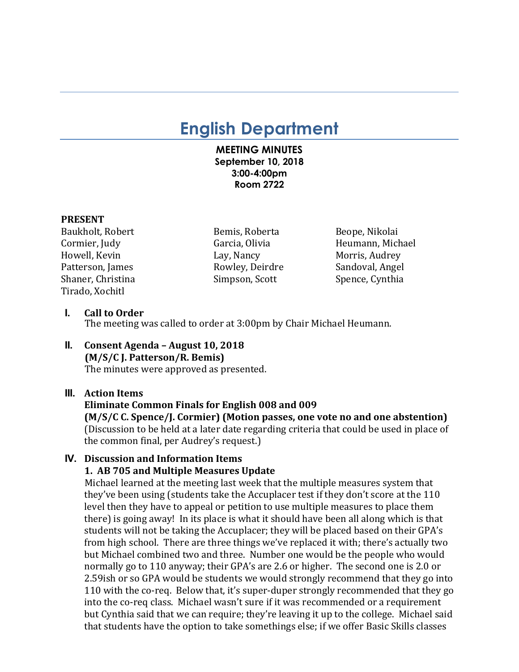# **English Department**

#### **MEETING MINUTES September 10, 2018 3:00-4:00pm Room 2722**

#### **PRESENT**

Baukholt, Robert **Bemis, Roberta** Beope, Nikolai Howell, Kevin **Example 2** Lay, Nancy **Morris, Audrey** Morris, Audrey Patterson, James **Rowley, Deirdre** Sandoval, Angel Shaner, Christina Simpson, Scott Spence, Cynthia Tirado, Xochitl

Cormier, Judy **Garcia, Olivia** Garcia, Olivia Heumann, Michael

#### **I.** Call to Order

The meeting was called to order at 3:00pm by Chair Michael Heumann.

**II. Consent Agenda – August 10, 2018 (M/S/C J. Patterson/R. Bemis)** The minutes were approved as presented.

# **III.** Action Items

# **Eliminate Common Finals for English 008 and 009**

**(M/S/C C. Spence/J. Cormier) (Motion passes, one vote no and one abstention)** (Discussion to be held at a later date regarding criteria that could be used in place of the common final, per Audrey's request.)

## **IV. Discussion and Information Items**

#### **1. AB 705 and Multiple Measures Update**

Michael learned at the meeting last week that the multiple measures system that they've been using (students take the Accuplacer test if they don't score at the 110 level then they have to appeal or petition to use multiple measures to place them there) is going away! In its place is what it should have been all along which is that students will not be taking the Accuplacer; they will be placed based on their GPA's from high school. There are three things we've replaced it with; there's actually two but Michael combined two and three. Number one would be the people who would normally go to 110 anyway; their GPA's are 2.6 or higher. The second one is 2.0 or 2.59ish or so GPA would be students we would strongly recommend that they go into 110 with the co-req. Below that, it's super-duper strongly recommended that they go into the co-req class. Michael wasn't sure if it was recommended or a requirement but Cynthia said that we can require; they're leaving it up to the college. Michael said that students have the option to take somethings else; if we offer Basic Skills classes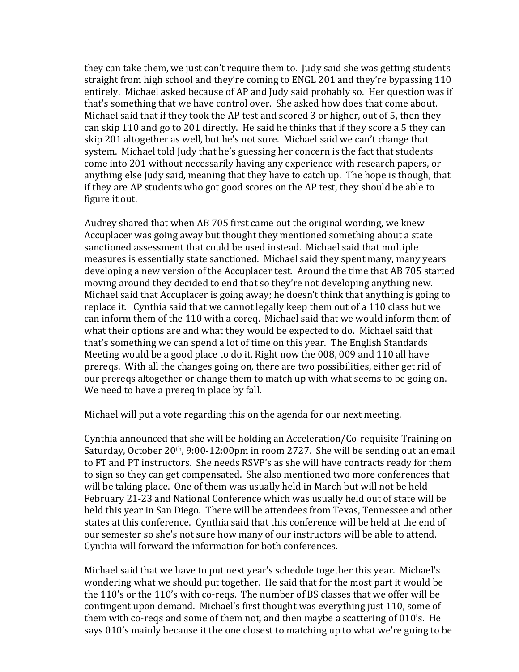they can take them, we just can't require them to. Judy said she was getting students straight from high school and they're coming to ENGL 201 and they're bypassing 110 entirely. Michael asked because of AP and Judy said probably so. Her question was if that's something that we have control over. She asked how does that come about. Michael said that if they took the AP test and scored 3 or higher, out of 5, then they can skip 110 and go to 201 directly. He said he thinks that if they score a 5 they can skip 201 altogether as well, but he's not sure. Michael said we can't change that system. Michael told Judy that he's guessing her concern is the fact that students come into 201 without necessarily having any experience with research papers, or anything else Judy said, meaning that they have to catch up. The hope is though, that if they are AP students who got good scores on the AP test, they should be able to figure it out.

Audrey shared that when AB 705 first came out the original wording, we knew Accuplacer was going away but thought they mentioned something about a state sanctioned assessment that could be used instead. Michael said that multiple measures is essentially state sanctioned. Michael said they spent many, many years developing a new version of the Accuplacer test. Around the time that AB 705 started moving around they decided to end that so they're not developing anything new. Michael said that Accuplacer is going away; he doesn't think that anything is going to replace it. Cynthia said that we cannot legally keep them out of a 110 class but we can inform them of the 110 with a coreq. Michael said that we would inform them of what their options are and what they would be expected to do. Michael said that that's something we can spend a lot of time on this year. The English Standards Meeting would be a good place to do it. Right now the 008, 009 and 110 all have prereqs. With all the changes going on, there are two possibilities, either get rid of our prereqs altogether or change them to match up with what seems to be going on. We need to have a prereq in place by fall.

Michael will put a vote regarding this on the agenda for our next meeting.

Cynthia announced that she will be holding an Acceleration/Co-requisite Training on Saturday, October  $20<sup>th</sup>$ , 9:00-12:00pm in room 2727. She will be sending out an email to FT and PT instructors. She needs RSVP's as she will have contracts ready for them to sign so they can get compensated. She also mentioned two more conferences that will be taking place. One of them was usually held in March but will not be held February 21-23 and National Conference which was usually held out of state will be held this year in San Diego. There will be attendees from Texas, Tennessee and other states at this conference. Cynthia said that this conference will be held at the end of our semester so she's not sure how many of our instructors will be able to attend. Cynthia will forward the information for both conferences.

Michael said that we have to put next year's schedule together this year. Michael's wondering what we should put together. He said that for the most part it would be the  $110$ 's or the  $110$ 's with co-reqs. The number of BS classes that we offer will be contingent upon demand. Michael's first thought was everything just 110, some of them with co-reqs and some of them not, and then maybe a scattering of 010's. He says 010's mainly because it the one closest to matching up to what we're going to be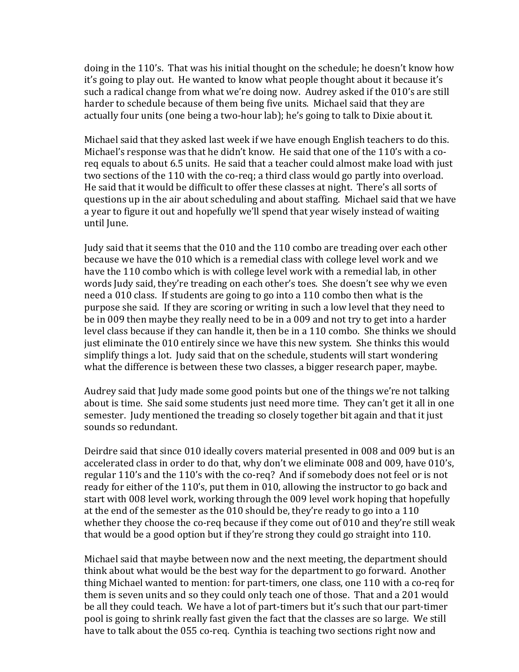doing in the 110's. That was his initial thought on the schedule; he doesn't know how it's going to play out. He wanted to know what people thought about it because it's such a radical change from what we're doing now. Audrey asked if the 010's are still harder to schedule because of them being five units. Michael said that they are actually four units (one being a two-hour lab); he's going to talk to Dixie about it.

Michael said that they asked last week if we have enough English teachers to do this. Michael's response was that he didn't know. He said that one of the 110's with a coreq equals to about 6.5 units. He said that a teacher could almost make load with just two sections of the 110 with the co-req; a third class would go partly into overload. He said that it would be difficult to offer these classes at night. There's all sorts of questions up in the air about scheduling and about staffing. Michael said that we have a year to figure it out and hopefully we'll spend that year wisely instead of waiting until June.

Judy said that it seems that the 010 and the 110 combo are treading over each other because we have the 010 which is a remedial class with college level work and we have the 110 combo which is with college level work with a remedial lab, in other words Judy said, they're treading on each other's toes. She doesn't see why we even need a 010 class. If students are going to go into a 110 combo then what is the purpose she said. If they are scoring or writing in such a low level that they need to be in 009 then maybe they really need to be in a 009 and not try to get into a harder level class because if they can handle it, then be in a 110 combo. She thinks we should just eliminate the 010 entirely since we have this new system. She thinks this would simplify things a lot. Judy said that on the schedule, students will start wondering what the difference is between these two classes, a bigger research paper, maybe.

Audrey said that Judy made some good points but one of the things we're not talking about is time. She said some students just need more time. They can't get it all in one semester. Judy mentioned the treading so closely together bit again and that it just sounds so redundant.

Deirdre said that since 010 ideally covers material presented in 008 and 009 but is an accelerated class in order to do that, why don't we eliminate 008 and 009, have 010's, regular 110's and the 110's with the co-req? And if somebody does not feel or is not ready for either of the 110's, put them in 010, allowing the instructor to go back and start with 008 level work, working through the 009 level work hoping that hopefully at the end of the semester as the  $010$  should be, they're ready to go into a 110 whether they choose the co-req because if they come out of 010 and they're still weak that would be a good option but if they're strong they could go straight into 110.

Michael said that maybe between now and the next meeting, the department should think about what would be the best way for the department to go forward. Another thing Michael wanted to mention: for part-timers, one class, one 110 with a co-req for them is seven units and so they could only teach one of those. That and a 201 would be all they could teach. We have a lot of part-timers but it's such that our part-timer pool is going to shrink really fast given the fact that the classes are so large. We still have to talk about the 055 co-req. Cynthia is teaching two sections right now and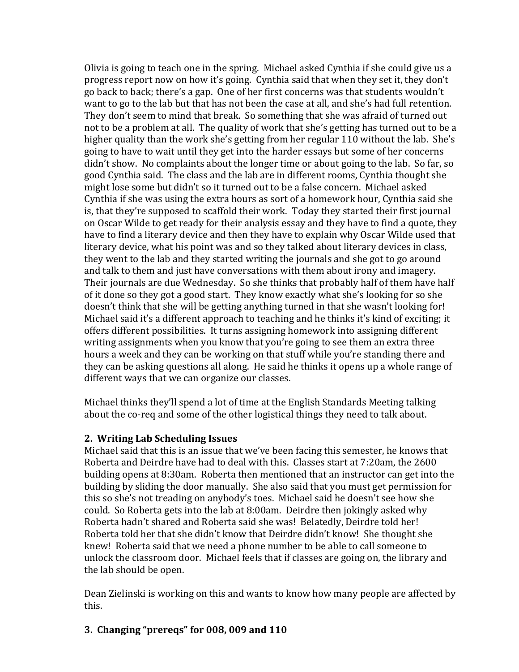Olivia is going to teach one in the spring. Michael asked Cynthia if she could give us a progress report now on how it's going. Cynthia said that when they set it, they don't go back to back; there's a gap. One of her first concerns was that students wouldn't want to go to the lab but that has not been the case at all, and she's had full retention. They don't seem to mind that break. So something that she was afraid of turned out not to be a problem at all. The quality of work that she's getting has turned out to be a higher quality than the work she's getting from her regular 110 without the lab. She's going to have to wait until they get into the harder essays but some of her concerns didn't show. No complaints about the longer time or about going to the lab. So far, so good Cynthia said. The class and the lab are in different rooms, Cynthia thought she might lose some but didn't so it turned out to be a false concern. Michael asked Cynthia if she was using the extra hours as sort of a homework hour, Cynthia said she is, that they're supposed to scaffold their work. Today they started their first journal on Oscar Wilde to get ready for their analysis essay and they have to find a quote, they have to find a literary device and then they have to explain why Oscar Wilde used that literary device, what his point was and so they talked about literary devices in class, they went to the lab and they started writing the journals and she got to go around and talk to them and just have conversations with them about irony and imagery. Their journals are due Wednesday. So she thinks that probably half of them have half of it done so they got a good start. They know exactly what she's looking for so she doesn't think that she will be getting anything turned in that she wasn't looking for! Michael said it's a different approach to teaching and he thinks it's kind of exciting; it offers different possibilities. It turns assigning homework into assigning different writing assignments when you know that you're going to see them an extra three hours a week and they can be working on that stuff while you're standing there and they can be asking questions all along. He said he thinks it opens up a whole range of different ways that we can organize our classes.

Michael thinks they'll spend a lot of time at the English Standards Meeting talking about the co-req and some of the other logistical things they need to talk about.

## **2. Writing Lab Scheduling Issues**

Michael said that this is an issue that we've been facing this semester, he knows that Roberta and Deirdre have had to deal with this. Classes start at 7:20am, the 2600 building opens at 8:30am. Roberta then mentioned that an instructor can get into the building by sliding the door manually. She also said that you must get permission for this so she's not treading on anybody's toes. Michael said he doesn't see how she could. So Roberta gets into the lab at 8:00am. Deirdre then jokingly asked why Roberta hadn't shared and Roberta said she was! Belatedly, Deirdre told her! Roberta told her that she didn't know that Deirdre didn't know! She thought she knew! Roberta said that we need a phone number to be able to call someone to unlock the classroom door. Michael feels that if classes are going on, the library and the lab should be open.

Dean Zielinski is working on this and wants to know how many people are affected by this.

# **3. Changing "prereqs" for 008, 009 and 110**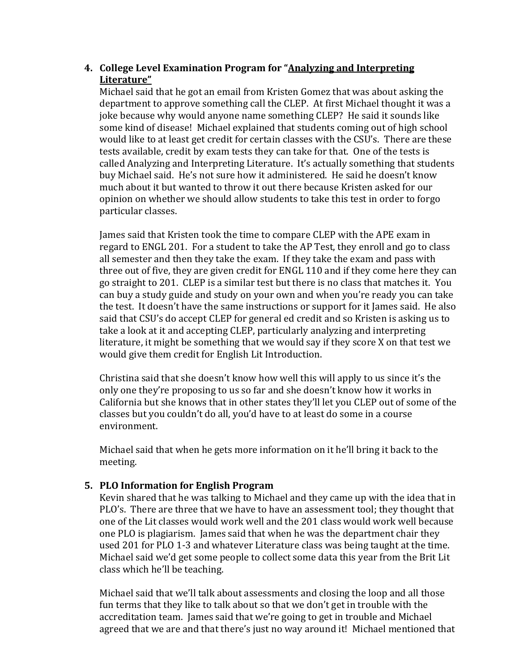# 4. College Level Examination Program for "Analyzing and Interpreting **Literature"**

Michael said that he got an email from Kristen Gomez that was about asking the department to approve something call the CLEP. At first Michael thought it was a joke because why would anyone name something CLEP? He said it sounds like some kind of disease! Michael explained that students coming out of high school would like to at least get credit for certain classes with the CSU's. There are these tests available, credit by exam tests they can take for that. One of the tests is called Analyzing and Interpreting Literature. It's actually something that students buy Michael said. He's not sure how it administered. He said he doesn't know much about it but wanted to throw it out there because Kristen asked for our opinion on whether we should allow students to take this test in order to forgo particular classes.

James said that Kristen took the time to compare CLEP with the APE exam in regard to ENGL 201. For a student to take the AP Test, they enroll and go to class all semester and then they take the exam. If they take the exam and pass with three out of five, they are given credit for ENGL 110 and if they come here they can go straight to 201. CLEP is a similar test but there is no class that matches it. You can buy a study guide and study on your own and when you're ready you can take the test. It doesn't have the same instructions or support for it James said. He also said that CSU's do accept CLEP for general ed credit and so Kristen is asking us to take a look at it and accepting CLEP, particularly analyzing and interpreting literature, it might be something that we would say if they score  $X$  on that test we would give them credit for English Lit Introduction.

Christina said that she doesn't know how well this will apply to us since it's the only one they're proposing to us so far and she doesn't know how it works in California but she knows that in other states they'll let you CLEP out of some of the classes but you couldn't do all, you'd have to at least do some in a course environment. 

Michael said that when he gets more information on it he'll bring it back to the meeting. 

# **5. PLO Information for English Program**

Kevin shared that he was talking to Michael and they came up with the idea that in PLO's. There are three that we have to have an assessment tool; they thought that one of the Lit classes would work well and the 201 class would work well because one PLO is plagiarism. James said that when he was the department chair they used 201 for PLO 1-3 and whatever Literature class was being taught at the time. Michael said we'd get some people to collect some data this year from the Brit Lit class which he'll be teaching.

Michael said that we'll talk about assessments and closing the loop and all those fun terms that they like to talk about so that we don't get in trouble with the accreditation team. James said that we're going to get in trouble and Michael agreed that we are and that there's just no way around it! Michael mentioned that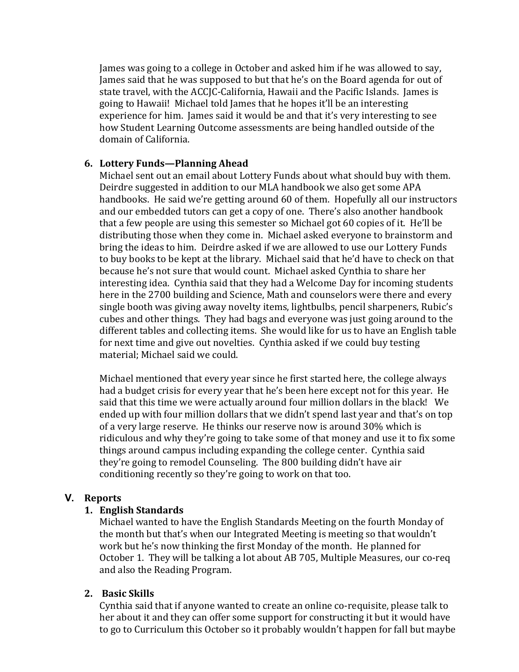James was going to a college in October and asked him if he was allowed to say, James said that he was supposed to but that he's on the Board agenda for out of state travel, with the ACCJC-California, Hawaii and the Pacific Islands. James is going to Hawaii! Michael told James that he hopes it'll be an interesting experience for him. James said it would be and that it's very interesting to see how Student Learning Outcome assessments are being handled outside of the domain of California. 

#### **6. Lottery Funds—Planning Ahead**

Michael sent out an email about Lottery Funds about what should buy with them. Deirdre suggested in addition to our MLA handbook we also get some APA handbooks. He said we're getting around 60 of them. Hopefully all our instructors and our embedded tutors can get a copy of one. There's also another handbook that a few people are using this semester so Michael got 60 copies of it. He'll be distributing those when they come in. Michael asked everyone to brainstorm and bring the ideas to him. Deirdre asked if we are allowed to use our Lottery Funds to buy books to be kept at the library. Michael said that he'd have to check on that because he's not sure that would count. Michael asked Cynthia to share her interesting idea. Cynthia said that they had a Welcome Day for incoming students here in the 2700 building and Science, Math and counselors were there and every single booth was giving away novelty items, lightbulbs, pencil sharpeners, Rubic's cubes and other things. They had bags and everyone was just going around to the different tables and collecting items. She would like for us to have an English table for next time and give out novelties. Cynthia asked if we could buy testing material; Michael said we could.

Michael mentioned that every year since he first started here, the college always had a budget crisis for every year that he's been here except not for this year. He said that this time we were actually around four million dollars in the black! We ended up with four million dollars that we didn't spend last year and that's on top of a very large reserve. He thinks our reserve now is around 30% which is ridiculous and why they're going to take some of that money and use it to fix some things around campus including expanding the college center. Cynthia said they're going to remodel Counseling. The 800 building didn't have air conditioning recently so they're going to work on that too.

#### **V. Reports**

#### **1. English Standards**

Michael wanted to have the English Standards Meeting on the fourth Monday of the month but that's when our Integrated Meeting is meeting so that wouldn't work but he's now thinking the first Monday of the month. He planned for October 1. They will be talking a lot about AB 705, Multiple Measures, our co-req and also the Reading Program.

# **2. Basic Skills**

Cynthia said that if anyone wanted to create an online co-requisite, please talk to her about it and they can offer some support for constructing it but it would have to go to Curriculum this October so it probably wouldn't happen for fall but maybe